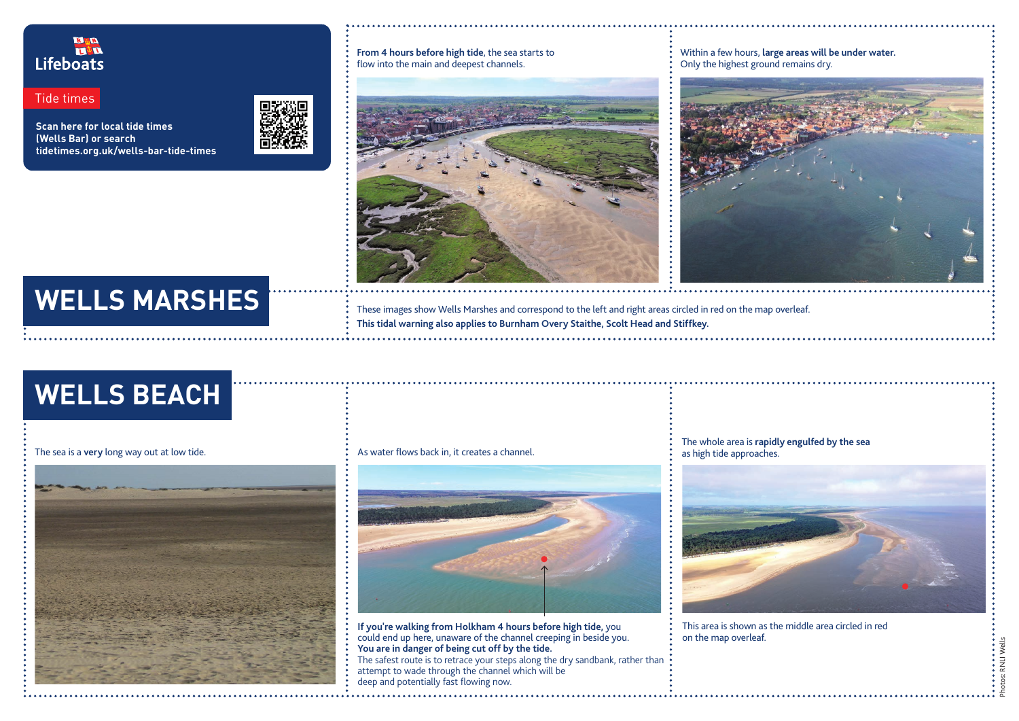. . . . . . . .<br>RNLI Wells Photos: RNLI Wells

**From 4 hours before high tide**, the sea starts to flow into the main and deepest channels.



## Within a few hours, **large areas will be under water.**

Only the highest ground remains dry.



These images show Wells Marshes and correspond to the left and right areas circled in red on the map overleaf. **This tidal warning also applies to Burnham Overy Staithe, Scolt Head and Stiffkey.**

# **WELLS MARSHES**

**Scan here for local tide times (Wells Bar) or search tidetimes.org.uk/wells-bar-tide-times**



### R & EI Lifeboats

Tide times

**If you're walking from Holkham 4 hours before high tide,** you could end up here, unaware of the channel creeping in beside you. **You are in danger of being cut off by the tide.** The safest route is to retrace your steps along the dry sandbank, rather than attempt to wade through the channel which will be deep and potentially fast flowing now.

The whole area is **rapidly engulfed by the sea**  as high tide approaches.



This area is shown as the middle area circled in red

on the map overleaf.

## **WELLS BEACH**



The sea is a **very** long way out at low tide. As water flows back in, it creates a channel.